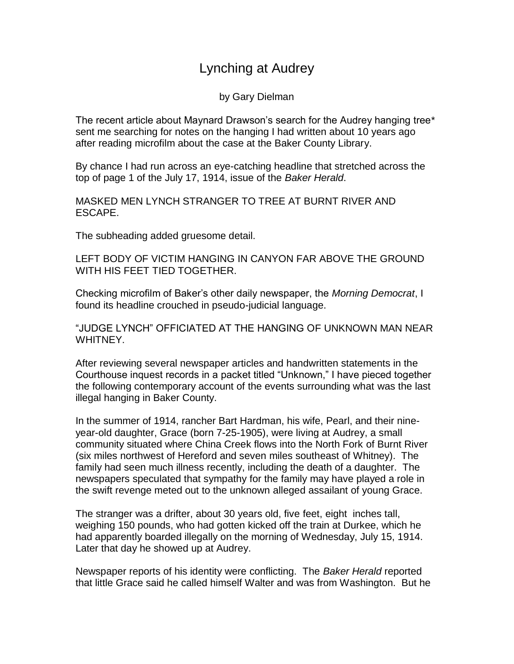## Lynching at Audrey

by Gary Dielman

The recent article about Maynard Drawson's search for the Audrey hanging tree\* sent me searching for notes on the hanging I had written about 10 years ago after reading microfilm about the case at the Baker County Library.

By chance I had run across an eye-catching headline that stretched across the top of page 1 of the July 17, 1914, issue of the *Baker Herald*.

MASKED MEN LYNCH STRANGER TO TREE AT BURNT RIVER AND ESCAPE.

The subheading added gruesome detail.

LEFT BODY OF VICTIM HANGING IN CANYON FAR ABOVE THE GROUND WITH HIS FEET TIED TOGETHER.

Checking microfilm of Baker's other daily newspaper, the *Morning Democrat*, I found its headline crouched in pseudo-judicial language.

"JUDGE LYNCH" OFFICIATED AT THE HANGING OF UNKNOWN MAN NEAR WHITNEY.

After reviewing several newspaper articles and handwritten statements in the Courthouse inquest records in a packet titled "Unknown," I have pieced together the following contemporary account of the events surrounding what was the last illegal hanging in Baker County.

In the summer of 1914, rancher Bart Hardman, his wife, Pearl, and their nineyear-old daughter, Grace (born 7-25-1905), were living at Audrey, a small community situated where China Creek flows into the North Fork of Burnt River (six miles northwest of Hereford and seven miles southeast of Whitney). The family had seen much illness recently, including the death of a daughter. The newspapers speculated that sympathy for the family may have played a role in the swift revenge meted out to the unknown alleged assailant of young Grace.

The stranger was a drifter, about 30 years old, five feet, eight inches tall, weighing 150 pounds, who had gotten kicked off the train at Durkee, which he had apparently boarded illegally on the morning of Wednesday, July 15, 1914. Later that day he showed up at Audrey.

Newspaper reports of his identity were conflicting. The *Baker Herald* reported that little Grace said he called himself Walter and was from Washington. But he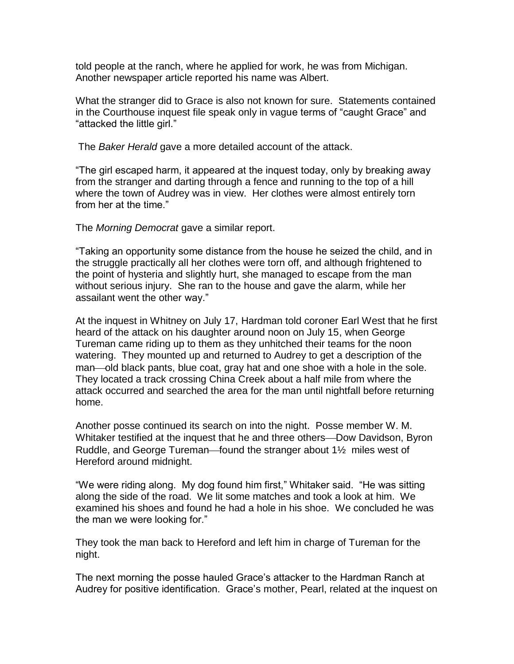told people at the ranch, where he applied for work, he was from Michigan. Another newspaper article reported his name was Albert.

What the stranger did to Grace is also not known for sure. Statements contained in the Courthouse inquest file speak only in vague terms of "caught Grace" and "attacked the little girl."

The *Baker Herald* gave a more detailed account of the attack.

"The girl escaped harm, it appeared at the inquest today, only by breaking away from the stranger and darting through a fence and running to the top of a hill where the town of Audrey was in view. Her clothes were almost entirely torn from her at the time."

The *Morning Democrat* gave a similar report.

"Taking an opportunity some distance from the house he seized the child, and in the struggle practically all her clothes were torn off, and although frightened to the point of hysteria and slightly hurt, she managed to escape from the man without serious injury. She ran to the house and gave the alarm, while her assailant went the other way."

At the inquest in Whitney on July 17, Hardman told coroner Earl West that he first heard of the attack on his daughter around noon on July 15, when George Tureman came riding up to them as they unhitched their teams for the noon watering. They mounted up and returned to Audrey to get a description of the man—old black pants, blue coat, gray hat and one shoe with a hole in the sole. They located a track crossing China Creek about a half mile from where the attack occurred and searched the area for the man until nightfall before returning home.

Another posse continued its search on into the night. Posse member W. M. Whitaker testified at the inquest that he and three others—Dow Davidson, Byron Ruddle, and George Tureman—found the stranger about  $1\frac{1}{2}$  miles west of Hereford around midnight.

"We were riding along. My dog found him first," Whitaker said. "He was sitting along the side of the road. We lit some matches and took a look at him. We examined his shoes and found he had a hole in his shoe. We concluded he was the man we were looking for."

They took the man back to Hereford and left him in charge of Tureman for the night.

The next morning the posse hauled Grace's attacker to the Hardman Ranch at Audrey for positive identification. Grace's mother, Pearl, related at the inquest on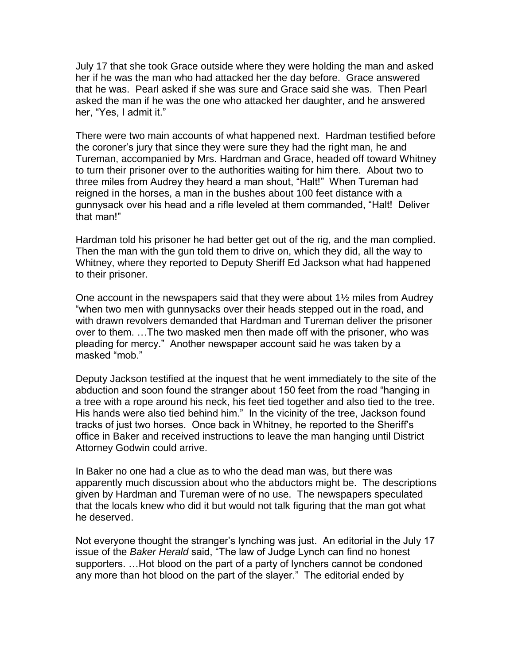July 17 that she took Grace outside where they were holding the man and asked her if he was the man who had attacked her the day before. Grace answered that he was. Pearl asked if she was sure and Grace said she was. Then Pearl asked the man if he was the one who attacked her daughter, and he answered her, "Yes, I admit it."

There were two main accounts of what happened next. Hardman testified before the coroner's jury that since they were sure they had the right man, he and Tureman, accompanied by Mrs. Hardman and Grace, headed off toward Whitney to turn their prisoner over to the authorities waiting for him there. About two to three miles from Audrey they heard a man shout, "Halt!" When Tureman had reigned in the horses, a man in the bushes about 100 feet distance with a gunnysack over his head and a rifle leveled at them commanded, "Halt! Deliver that man!"

Hardman told his prisoner he had better get out of the rig, and the man complied. Then the man with the gun told them to drive on, which they did, all the way to Whitney, where they reported to Deputy Sheriff Ed Jackson what had happened to their prisoner.

One account in the newspapers said that they were about 1½ miles from Audrey "when two men with gunnysacks over their heads stepped out in the road, and with drawn revolvers demanded that Hardman and Tureman deliver the prisoner over to them. …The two masked men then made off with the prisoner, who was pleading for mercy." Another newspaper account said he was taken by a masked "mob."

Deputy Jackson testified at the inquest that he went immediately to the site of the abduction and soon found the stranger about 150 feet from the road "hanging in a tree with a rope around his neck, his feet tied together and also tied to the tree. His hands were also tied behind him." In the vicinity of the tree, Jackson found tracks of just two horses. Once back in Whitney, he reported to the Sheriff's office in Baker and received instructions to leave the man hanging until District Attorney Godwin could arrive.

In Baker no one had a clue as to who the dead man was, but there was apparently much discussion about who the abductors might be. The descriptions given by Hardman and Tureman were of no use. The newspapers speculated that the locals knew who did it but would not talk figuring that the man got what he deserved.

Not everyone thought the stranger's lynching was just. An editorial in the July 17 issue of the *Baker Herald* said, "The law of Judge Lynch can find no honest supporters. …Hot blood on the part of a party of lynchers cannot be condoned any more than hot blood on the part of the slayer." The editorial ended by